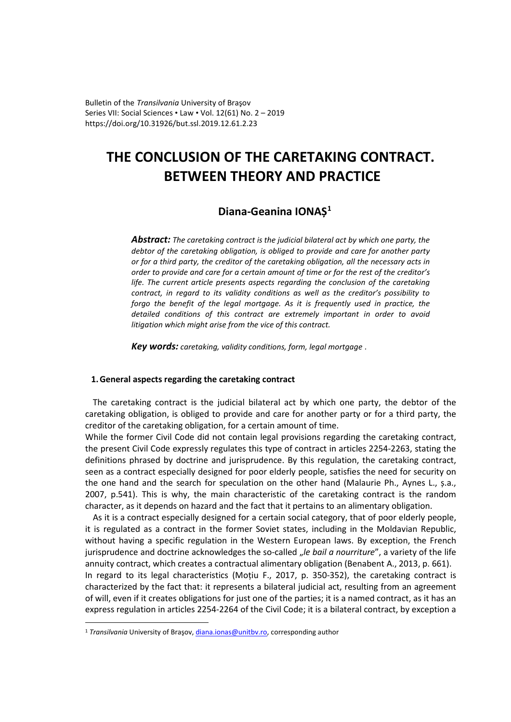Bulletin of the *Transilvania* University of Braşov Series VII: Social Sciences • Law • Vol. 12(61) No. 2 – 2019 https://doi.org/10.31926/but.ssl.2019.12.61.2.23

# **THE CONCLUSION OF THE CARETAKING CONTRACT. BETWEEN THEORY AND PRACTICE**

# **Diana-Geanina IONAȘ[1](#page-0-0)**

*Abstract: The caretaking contract is the judicial bilateral act by which one party, the debtor of the caretaking obligation, is obliged to provide and care for another party or for a third party, the creditor of the caretaking obligation, all the necessary acts in order to provide and care for a certain amount of time or for the rest of the creditor's*  life. The current article presents aspects regarding the conclusion of the caretaking *contract, in regard to its validity conditions as well as the creditor's possibility to forgo the benefit of the legal mortgage. As it is frequently used in practice, the detailed conditions of this contract are extremely important in order to avoid litigation which might arise from the vice of this contract.*

*Key words: caretaking, validity conditions, form, legal mortgage .*

## **1.General aspects regarding the caretaking contract**

The caretaking contract is the judicial bilateral act by which one party, the debtor of the caretaking obligation, is obliged to provide and care for another party or for a third party, the creditor of the caretaking obligation, for a certain amount of time.

While the former Civil Code did not contain legal provisions regarding the caretaking contract, the present Civil Code expressly regulates this type of contract in articles 2254-2263, stating the definitions phrased by doctrine and jurisprudence. By this regulation, the caretaking contract, seen as a contract especially designed for poor elderly people, satisfies the need for security on the one hand and the search for speculation on the other hand (Malaurie Ph., Aynes L., ș.a., 2007, p.541). This is why, the main characteristic of the caretaking contract is the random character, as it depends on hazard and the fact that it pertains to an alimentary obligation.

As it is a contract especially designed for a certain social category, that of poor elderly people, it is regulated as a contract in the former Soviet states, including in the Moldavian Republic, without having a specific regulation in the Western European laws. By exception, the French jurisprudence and doctrine acknowledges the so-called "le bail a nourriture", a variety of the life annuity contract, which creates a contractual alimentary obligation (Benabent A., 2013, p. 661). In regard to its legal characteristics (Moțiu F., 2017, p. 350-352), the caretaking contract is characterized by the fact that: it represents a bilateral judicial act, resulting from an agreement of will, even if it creates obligations for just one of the parties; it is a named contract, as it has an express regulation in articles 2254-2264 of the Civil Code; it is a bilateral contract, by exception a

<span id="page-0-0"></span><sup>&</sup>lt;sup>1</sup> *Transilvania* University of Brașov, [diana.ionas@unitbv.ro,](mailto:diana.ionas@unitbv.ro) corresponding author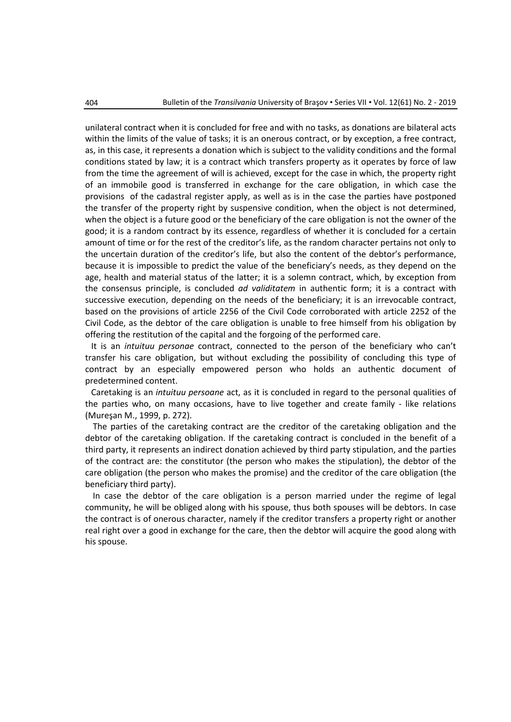unilateral contract when it is concluded for free and with no tasks, as donations are bilateral acts within the limits of the value of tasks; it is an onerous contract, or by exception, a free contract, as, in this case, it represents a donation which is subject to the validity conditions and the formal conditions stated by law; it is a contract which transfers property as it operates by force of law from the time the agreement of will is achieved, except for the case in which, the property right of an immobile good is transferred in exchange for the care obligation, in which case the provisions of the cadastral register apply, as well as is in the case the parties have postponed the transfer of the property right by suspensive condition, when the object is not determined, when the object is a future good or the beneficiary of the care obligation is not the owner of the good; it is a random contract by its essence, regardless of whether it is concluded for a certain amount of time or for the rest of the creditor's life, as the random character pertains not only to the uncertain duration of the creditor's life, but also the content of the debtor's performance, because it is impossible to predict the value of the beneficiary's needs, as they depend on the age, health and material status of the latter; it is a solemn contract, which, by exception from the consensus principle, is concluded *ad validitatem* in authentic form; it is a contract with successive execution, depending on the needs of the beneficiary; it is an irrevocable contract, based on the provisions of article 2256 of the Civil Code corroborated with article 2252 of the Civil Code, as the debtor of the care obligation is unable to free himself from his obligation by offering the restitution of the capital and the forgoing of the performed care.

It is an *intuituu personae* contract, connected to the person of the beneficiary who can't transfer his care obligation, but without excluding the possibility of concluding this type of contract by an especially empowered person who holds an authentic document of predetermined content.

Caretaking is an *intuituu persoane* act, as it is concluded in regard to the personal qualities of the parties who, on many occasions, have to live together and create family - like relations (Mureşan M., 1999, p. 272).

The parties of the caretaking contract are the creditor of the caretaking obligation and the debtor of the caretaking obligation. If the caretaking contract is concluded in the benefit of a third party, it represents an indirect donation achieved by third party stipulation, and the parties of the contract are: the constitutor (the person who makes the stipulation), the debtor of the care obligation (the person who makes the promise) and the creditor of the care obligation (the beneficiary third party).

In case the debtor of the care obligation is a person married under the regime of legal community, he will be obliged along with his spouse, thus both spouses will be debtors. In case the contract is of onerous character, namely if the creditor transfers a property right or another real right over a good in exchange for the care, then the debtor will acquire the good along with his spouse.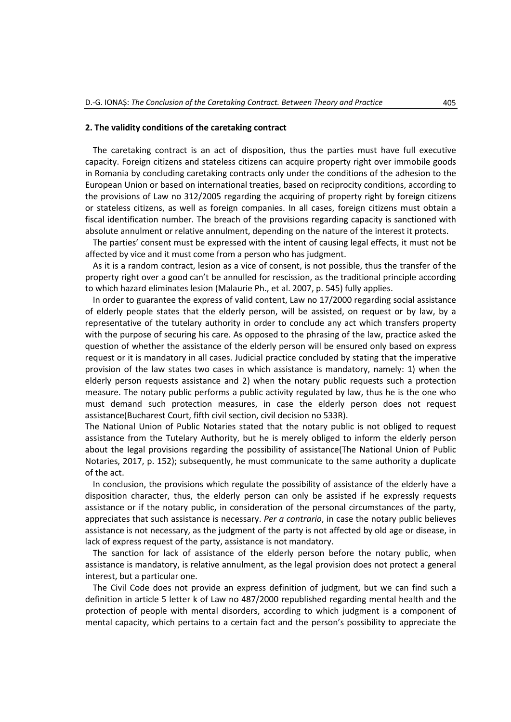# **2. The validity conditions of the caretaking contract**

The caretaking contract is an act of disposition, thus the parties must have full executive capacity. Foreign citizens and stateless citizens can acquire property right over immobile goods in Romania by concluding caretaking contracts only under the conditions of the adhesion to the European Union or based on international treaties, based on reciprocity conditions, according to the provisions of Law no 312/2005 regarding the acquiring of property right by foreign citizens or stateless citizens, as well as foreign companies. In all cases, foreign citizens must obtain a fiscal identification number. The breach of the provisions regarding capacity is sanctioned with absolute annulment or relative annulment, depending on the nature of the interest it protects.

The parties' consent must be expressed with the intent of causing legal effects, it must not be affected by vice and it must come from a person who has judgment.

As it is a random contract, lesion as a vice of consent, is not possible, thus the transfer of the property right over a good can't be annulled for rescission, as the traditional principle according to which hazard eliminates lesion (Malaurie Ph., et al. 2007, p. 545) fully applies.

In order to guarantee the express of valid content, Law no 17/2000 regarding social assistance of elderly people states that the elderly person, will be assisted, on request or by law, by a representative of the tutelary authority in order to conclude any act which transfers property with the purpose of securing his care. As opposed to the phrasing of the law, practice asked the question of whether the assistance of the elderly person will be ensured only based on express request or it is mandatory in all cases. Judicial practice concluded by stating that the imperative provision of the law states two cases in which assistance is mandatory, namely: 1) when the elderly person requests assistance and 2) when the notary public requests such a protection measure. The notary public performs a public activity regulated by law, thus he is the one who must demand such protection measures, in case the elderly person does not request assistance(Bucharest Court, fifth civil section, civil decision no 533R).

The National Union of Public Notaries stated that the notary public is not obliged to request assistance from the Tutelary Authority, but he is merely obliged to inform the elderly person about the legal provisions regarding the possibility of assistance(The National Union of Public Notaries, 2017, p. 152); subsequently, he must communicate to the same authority a duplicate of the act.

In conclusion, the provisions which regulate the possibility of assistance of the elderly have a disposition character, thus, the elderly person can only be assisted if he expressly requests assistance or if the notary public, in consideration of the personal circumstances of the party, appreciates that such assistance is necessary. *Per a contrario*, in case the notary public believes assistance is not necessary, as the judgment of the party is not affected by old age or disease, in lack of express request of the party, assistance is not mandatory.

The sanction for lack of assistance of the elderly person before the notary public, when assistance is mandatory, is relative annulment, as the legal provision does not protect a general interest, but a particular one.

The Civil Code does not provide an express definition of judgment, but we can find such a definition in article 5 letter k of Law no 487/2000 republished regarding mental health and the protection of people with mental disorders, according to which judgment is a component of mental capacity, which pertains to a certain fact and the person's possibility to appreciate the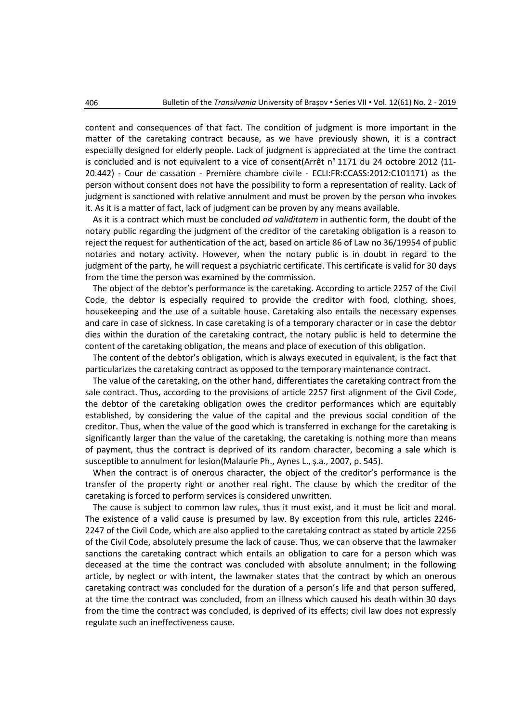content and consequences of that fact. The condition of judgment is more important in the matter of the caretaking contract because, as we have previously shown, it is a contract especially designed for elderly people. Lack of judgment is appreciated at the time the contract is concluded and is not equivalent to a vice of consent(Arrêt n° 1171 du 24 octobre 2012 (11- 20.442) - Cour de cassation - Première chambre civile - ECLI:FR:CCASS:2012:C101171) as the person without consent does not have the possibility to form a representation of reality. Lack of judgment is sanctioned with relative annulment and must be proven by the person who invokes it. As it is a matter of fact, lack of judgment can be proven by any means available.

As it is a contract which must be concluded *ad validitatem* in authentic form, the doubt of the notary public regarding the judgment of the creditor of the caretaking obligation is a reason to reject the request for authentication of the act, based on article 86 of Law no 36/19954 of public notaries and notary activity. However, when the notary public is in doubt in regard to the judgment of the party, he will request a psychiatric certificate. This certificate is valid for 30 days from the time the person was examined by the commission.

The object of the debtor's performance is the caretaking. According to article 2257 of the Civil Code, the debtor is especially required to provide the creditor with food, clothing, shoes, housekeeping and the use of a suitable house. Caretaking also entails the necessary expenses and care in case of sickness. In case caretaking is of a temporary character or in case the debtor dies within the duration of the caretaking contract, the notary public is held to determine the content of the caretaking obligation, the means and place of execution of this obligation.

The content of the debtor's obligation, which is always executed in equivalent, is the fact that particularizes the caretaking contract as opposed to the temporary maintenance contract.

The value of the caretaking, on the other hand, differentiates the caretaking contract from the sale contract. Thus, according to the provisions of article 2257 first alignment of the Civil Code, the debtor of the caretaking obligation owes the creditor performances which are equitably established, by considering the value of the capital and the previous social condition of the creditor. Thus, when the value of the good which is transferred in exchange for the caretaking is significantly larger than the value of the caretaking, the caretaking is nothing more than means of payment, thus the contract is deprived of its random character, becoming a sale which is susceptible to annulment for lesion(Malaurie Ph., Aynes L., ș.a., 2007, p. 545).

When the contract is of onerous character, the object of the creditor's performance is the transfer of the property right or another real right. The clause by which the creditor of the caretaking is forced to perform services is considered unwritten.

The cause is subject to common law rules, thus it must exist, and it must be licit and moral. The existence of a valid cause is presumed by law. By exception from this rule, articles 2246- 2247 of the Civil Code, which are also applied to the caretaking contract as stated by article 2256 of the Civil Code, absolutely presume the lack of cause. Thus, we can observe that the lawmaker sanctions the caretaking contract which entails an obligation to care for a person which was deceased at the time the contract was concluded with absolute annulment; in the following article, by neglect or with intent, the lawmaker states that the contract by which an onerous caretaking contract was concluded for the duration of a person's life and that person suffered, at the time the contract was concluded, from an illness which caused his death within 30 days from the time the contract was concluded, is deprived of its effects; civil law does not expressly regulate such an ineffectiveness cause.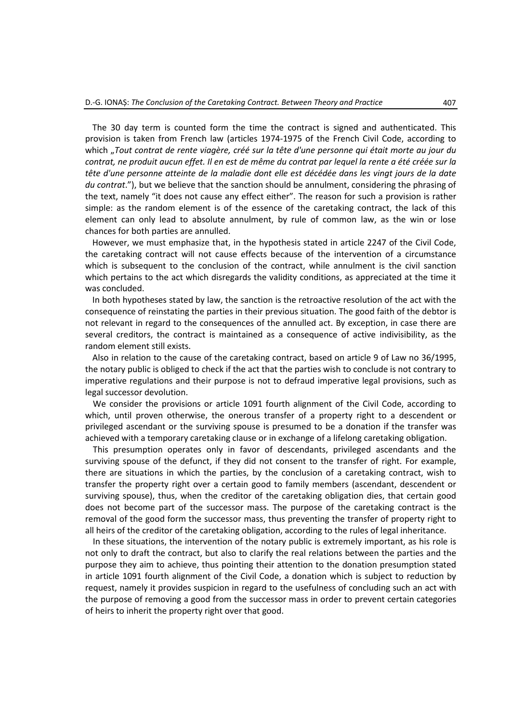The 30 day term is counted form the time the contract is signed and authenticated. This provision is taken from French law (articles 1974-1975 of the French Civil Code, according to which "*Tout contrat de rente viagère, créé sur la tête d'une personne qui était morte au jour du contrat, ne produit aucun effet. Il en est de même du contrat par lequel la rente a été créée sur la tête d'une personne atteinte de la maladie dont elle est décédée dans les vingt jours de la date du contrat*."), but we believe that the sanction should be annulment, considering the phrasing of the text, namely "it does not cause any effect either". The reason for such a provision is rather simple: as the random element is of the essence of the caretaking contract, the lack of this element can only lead to absolute annulment, by rule of common law, as the win or lose chances for both parties are annulled.

However, we must emphasize that, in the hypothesis stated in article 2247 of the Civil Code, the caretaking contract will not cause effects because of the intervention of a circumstance which is subsequent to the conclusion of the contract, while annulment is the civil sanction which pertains to the act which disregards the validity conditions, as appreciated at the time it was concluded.

In both hypotheses stated by law, the sanction is the retroactive resolution of the act with the consequence of reinstating the parties in their previous situation. The good faith of the debtor is not relevant in regard to the consequences of the annulled act. By exception, in case there are several creditors, the contract is maintained as a consequence of active indivisibility, as the random element still exists.

Also in relation to the cause of the caretaking contract, based on article 9 of Law no 36/1995, the notary public is obliged to check if the act that the parties wish to conclude is not contrary to imperative regulations and their purpose is not to defraud imperative legal provisions, such as legal successor devolution.

We consider the provisions or article 1091 fourth alignment of the Civil Code, according to which, until proven otherwise, the onerous transfer of a property right to a descendent or privileged ascendant or the surviving spouse is presumed to be a donation if the transfer was achieved with a temporary caretaking clause or in exchange of a lifelong caretaking obligation.

This presumption operates only in favor of descendants, privileged ascendants and the surviving spouse of the defunct, if they did not consent to the transfer of right. For example, there are situations in which the parties, by the conclusion of a caretaking contract, wish to transfer the property right over a certain good to family members (ascendant, descendent or surviving spouse), thus, when the creditor of the caretaking obligation dies, that certain good does not become part of the successor mass. The purpose of the caretaking contract is the removal of the good form the successor mass, thus preventing the transfer of property right to all heirs of the creditor of the caretaking obligation, according to the rules of legal inheritance.

In these situations, the intervention of the notary public is extremely important, as his role is not only to draft the contract, but also to clarify the real relations between the parties and the purpose they aim to achieve, thus pointing their attention to the donation presumption stated in article 1091 fourth alignment of the Civil Code, a donation which is subject to reduction by request, namely it provides suspicion in regard to the usefulness of concluding such an act with the purpose of removing a good from the successor mass in order to prevent certain categories of heirs to inherit the property right over that good.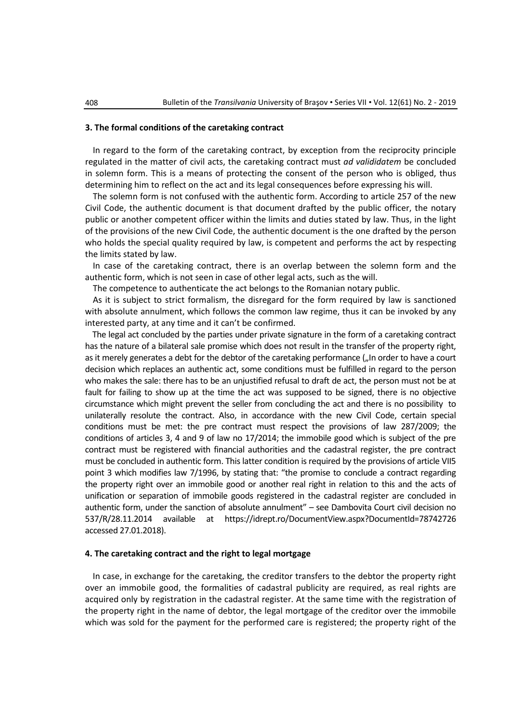### **3. The formal conditions of the caretaking contract**

In regard to the form of the caretaking contract, by exception from the reciprocity principle regulated in the matter of civil acts, the caretaking contract must *ad valididatem* be concluded in solemn form. This is a means of protecting the consent of the person who is obliged, thus determining him to reflect on the act and its legal consequences before expressing his will.

The solemn form is not confused with the authentic form. According to article 257 of the new Civil Code, the authentic document is that document drafted by the public officer, the notary public or another competent officer within the limits and duties stated by law. Thus, in the light of the provisions of the new Civil Code, the authentic document is the one drafted by the person who holds the special quality required by law, is competent and performs the act by respecting the limits stated by law.

In case of the caretaking contract, there is an overlap between the solemn form and the authentic form, which is not seen in case of other legal acts, such as the will.

The competence to authenticate the act belongs to the Romanian notary public.

As it is subject to strict formalism, the disregard for the form required by law is sanctioned with absolute annulment, which follows the common law regime, thus it can be invoked by any interested party, at any time and it can't be confirmed.

The legal act concluded by the parties under private signature in the form of a caretaking contract has the nature of a bilateral sale promise which does not result in the transfer of the property right, as it merely generates a debt for the debtor of the caretaking performance ("In order to have a court decision which replaces an authentic act, some conditions must be fulfilled in regard to the person who makes the sale: there has to be an unjustified refusal to draft de act, the person must not be at fault for failing to show up at the time the act was supposed to be signed, there is no objective circumstance which might prevent the seller from concluding the act and there is no possibility to unilaterally resolute the contract. Also, in accordance with the new Civil Code, certain special conditions must be met: the pre contract must respect the provisions of law 287/2009; the conditions of articles 3, 4 and 9 of law no 17/2014; the immobile good which is subject of the pre contract must be registered with financial authorities and the cadastral register, the pre contract must be concluded in authentic form. This latter condition is required by the provisions of article VII5 point 3 which modifies law 7/1996, by stating that: "the promise to conclude a contract regarding the property right over an immobile good or another real right in relation to this and the acts of unification or separation of immobile goods registered in the cadastral register are concluded in authentic form, under the sanction of absolute annulment" – see Dambovita Court civil decision no 537/R/28.11.2014 available at <https://idrept.ro/DocumentView.aspx?DocumentId=78742726> accessed 27.01.2018).

#### **4. The caretaking contract and the right to legal mortgage**

In case, in exchange for the caretaking, the creditor transfers to the debtor the property right over an immobile good, the formalities of cadastral publicity are required, as real rights are acquired only by registration in the cadastral register. At the same time with the registration of the property right in the name of debtor, the legal mortgage of the creditor over the immobile which was sold for the payment for the performed care is registered; the property right of the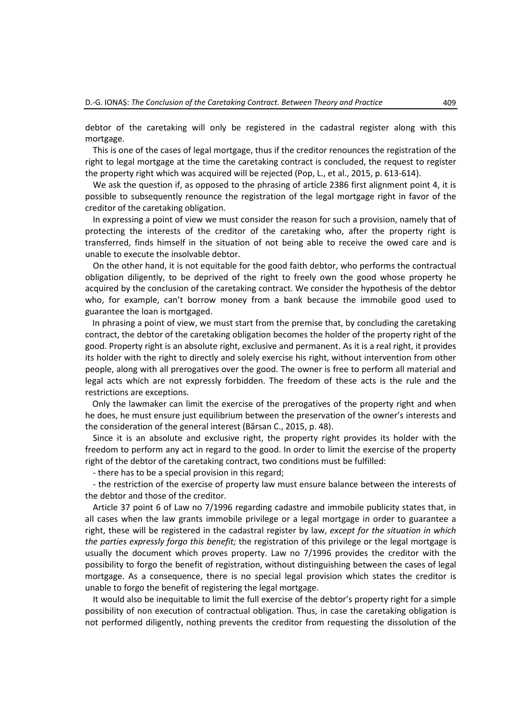debtor of the caretaking will only be registered in the cadastral register along with this mortgage.

This is one of the cases of legal mortgage, thus if the creditor renounces the registration of the right to legal mortgage at the time the caretaking contract is concluded, the request to register the property right which was acquired will be rejected (Pop, L., et al., 2015, p. 613-614).

We ask the question if, as opposed to the phrasing of article 2386 first alignment point 4, it is possible to subsequently renounce the registration of the legal mortgage right in favor of the creditor of the caretaking obligation.

In expressing a point of view we must consider the reason for such a provision, namely that of protecting the interests of the creditor of the caretaking who, after the property right is transferred, finds himself in the situation of not being able to receive the owed care and is unable to execute the insolvable debtor.

On the other hand, it is not equitable for the good faith debtor, who performs the contractual obligation diligently, to be deprived of the right to freely own the good whose property he acquired by the conclusion of the caretaking contract. We consider the hypothesis of the debtor who, for example, can't borrow money from a bank because the immobile good used to guarantee the loan is mortgaged.

In phrasing a point of view, we must start from the premise that, by concluding the caretaking contract, the debtor of the caretaking obligation becomes the holder of the property right of the good. Property right is an absolute right, exclusive and permanent. As it is a real right, it provides its holder with the right to directly and solely exercise his right, without intervention from other people, along with all prerogatives over the good. The owner is free to perform all material and legal acts which are not expressly forbidden. The freedom of these acts is the rule and the restrictions are exceptions.

Only the lawmaker can limit the exercise of the prerogatives of the property right and when he does, he must ensure just equilibrium between the preservation of the owner's interests and the consideration of the general interest (Bârsan C., 2015, p. 48).

Since it is an absolute and exclusive right, the property right provides its holder with the freedom to perform any act in regard to the good. In order to limit the exercise of the property right of the debtor of the caretaking contract, two conditions must be fulfilled:

- there has to be a special provision in this regard;

- the restriction of the exercise of property law must ensure balance between the interests of the debtor and those of the creditor.

Article 37 point 6 of Law no 7/1996 regarding cadastre and immobile publicity states that, in all cases when the law grants immobile privilege or a legal mortgage in order to guarantee a right, these will be registered in the cadastral register by law, *except for the situation in which the parties expressly forgo this benefit;* the registration of this privilege or the legal mortgage is usually the document which proves property. Law no 7/1996 provides the creditor with the possibility to forgo the benefit of registration, without distinguishing between the cases of legal mortgage. As a consequence, there is no special legal provision which states the creditor is unable to forgo the benefit of registering the legal mortgage.

It would also be inequitable to limit the full exercise of the debtor's property right for a simple possibility of non execution of contractual obligation. Thus, in case the caretaking obligation is not performed diligently, nothing prevents the creditor from requesting the dissolution of the